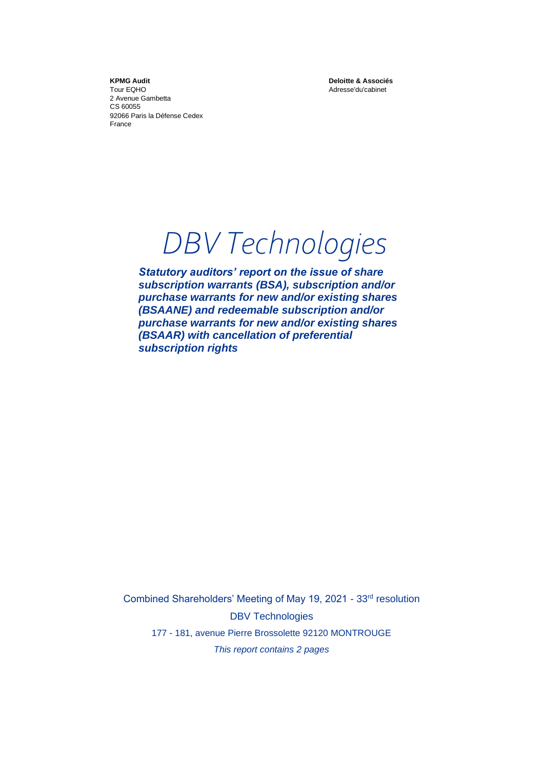**KPMG Audit** Tour EQHO 2 Avenue Gambetta CS 60055 92066 Paris la Défense Cedex France

**Deloitte & Associés** Adresse'du'cabinet

# *DBV Technologies*

*Statutory auditors' report on the issue of share subscription warrants (BSA), subscription and/or purchase warrants for new and/or existing shares (BSAANE) and redeemable subscription and/or purchase warrants for new and/or existing shares (BSAAR) with cancellation of preferential subscription rights*

Combined Shareholders' Meeting of May 19, 2021 - 33<sup>rd</sup> resolution DBV Technologies 177 - 181, avenue Pierre Brossolette 92120 MONTROUGE *This report contains 2 pages*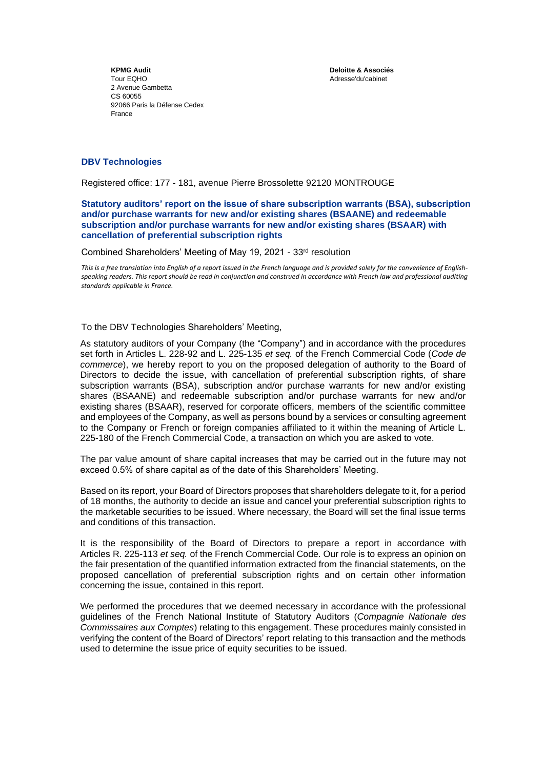**Deloitte & Associés** Adresse'du'cabinet

**KPMG Audit** Tour EQHO 2 Avenue Gambetta CS 60055 92066 Paris la Défense Cedex France

### **DBV Technologies**

Registered office: 177 - 181, avenue Pierre Brossolette 92120 MONTROUGE

**Statutory auditors' report on the issue of share subscription warrants (BSA), subscription and/or purchase warrants for new and/or existing shares (BSAANE) and redeemable subscription and/or purchase warrants for new and/or existing shares (BSAAR) with cancellation of preferential subscription rights**

Combined Shareholders' Meeting of May 19, 2021 - 33rd resolution

*This is a free translation into English of a report issued in the French language and is provided solely for the convenience of Englishspeaking readers. This report should be read in conjunction and construed in accordance with French law and professional auditing standards applicable in France.*

#### To the DBV Technologies Shareholders' Meeting,

As statutory auditors of your Company (the "Company") and in accordance with the procedures set forth in Articles L. 228-92 and L. 225-135 *et seq.* of the French Commercial Code (*Code de commerce*), we hereby report to you on the proposed delegation of authority to the Board of Directors to decide the issue, with cancellation of preferential subscription rights, of share subscription warrants (BSA), subscription and/or purchase warrants for new and/or existing shares (BSAANE) and redeemable subscription and/or purchase warrants for new and/or existing shares (BSAAR), reserved for corporate officers, members of the scientific committee and employees of the Company, as well as persons bound by a services or consulting agreement to the Company or French or foreign companies affiliated to it within the meaning of Article L. 225-180 of the French Commercial Code, a transaction on which you are asked to vote.

The par value amount of share capital increases that may be carried out in the future may not exceed 0.5% of share capital as of the date of this Shareholders' Meeting.

Based on its report, your Board of Directors proposes that shareholders delegate to it, for a period of 18 months, the authority to decide an issue and cancel your preferential subscription rights to the marketable securities to be issued. Where necessary, the Board will set the final issue terms and conditions of this transaction.

It is the responsibility of the Board of Directors to prepare a report in accordance with Articles R. 225-113 *et seq.* of the French Commercial Code. Our role is to express an opinion on the fair presentation of the quantified information extracted from the financial statements, on the proposed cancellation of preferential subscription rights and on certain other information concerning the issue, contained in this report.

We performed the procedures that we deemed necessary in accordance with the professional guidelines of the French National Institute of Statutory Auditors (*Compagnie Nationale des Commissaires aux Comptes*) relating to this engagement. These procedures mainly consisted in verifying the content of the Board of Directors' report relating to this transaction and the methods used to determine the issue price of equity securities to be issued.